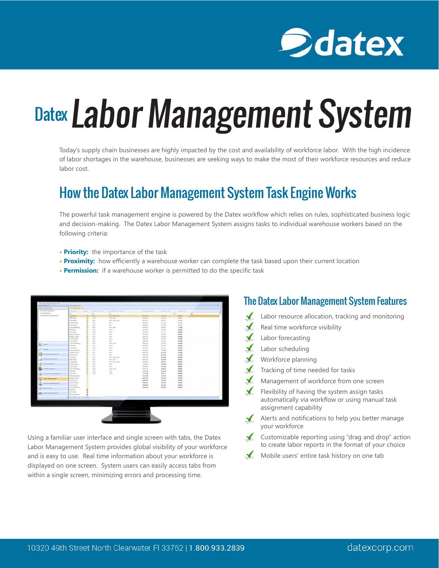

# Datex Labor Management System

Today's supply chain businesses are highly impacted by the cost and availability of workforce labor. With the high incidence of labor shortages in the warehouse, businesses are seeking ways to make the most of their workforce resources and reduce labor cost.

## How the Datex Labor Management System Task Engine Works

The powerful task management engine is powered by the Datex workflow which relies on rules, sophisticated business logic and decision-making. The Datex Labor Management System assigns tasks to individual warehouse workers based on the following criteria:

- **Priority:** the importance of the task
- **Proximity:** how efficiently a warehouse worker can complete the task based upon their current location
- **Permission:** if a warehouse worker is permitted to do the specific task



Using a familiar user interface and single screen with tabs, the Datex Labor Management System provides global visibility of your workforce and is easy to use. Real time information about your workforce is displayed on one screen. System users can easily access tabs from within a single screen, minimizing errors and processing time.

#### The Datex Labor Management System Features

- Labor resource allocation, tracking and monitoring
- Real time workforce visibility
- ✔ Labor forecasting
- Labor scheduling
- Workforce planning
- Tracking of time needed for tasks
- Management of workforce from one screen
- Flexibility of having the system assign tasks automatically via workflow or using manual task assignment capability
- Alerts and notifications to help you better manage your workforce
- Customizable reporting using "drag and drop" action to create labor reports in the format of your choice
- Mobile users' entire task history on one tab